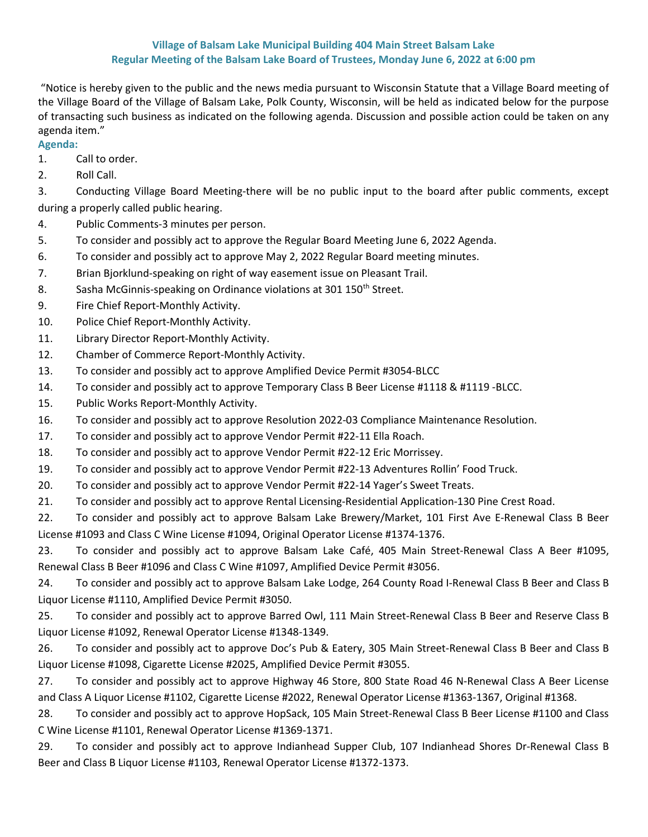## Village of Balsam Lake Municipal Building 404 Main Street Balsam Lake Regular Meeting of the Balsam Lake Board of Trustees, Monday June 6, 2022 at 6:00 pm

 "Notice is hereby given to the public and the news media pursuant to Wisconsin Statute that a Village Board meeting of the Village Board of the Village of Balsam Lake, Polk County, Wisconsin, will be held as indicated below for the purpose of transacting such business as indicated on the following agenda. Discussion and possible action could be taken on any agenda item."

## Agenda:

- 1. Call to order.
- 2. Roll Call.

3. Conducting Village Board Meeting-there will be no public input to the board after public comments, except during a properly called public hearing.

- 4. Public Comments-3 minutes per person.
- 5. To consider and possibly act to approve the Regular Board Meeting June 6, 2022 Agenda.
- 6. To consider and possibly act to approve May 2, 2022 Regular Board meeting minutes.
- 7. Brian Bjorklund-speaking on right of way easement issue on Pleasant Trail.
- 8. Sasha McGinnis-speaking on Ordinance violations at 301 150<sup>th</sup> Street.
- 9. Fire Chief Report-Monthly Activity.
- 10. Police Chief Report-Monthly Activity.
- 11. Library Director Report-Monthly Activity.
- 12. Chamber of Commerce Report-Monthly Activity.
- 13. To consider and possibly act to approve Amplified Device Permit #3054-BLCC
- 14. To consider and possibly act to approve Temporary Class B Beer License #1118 & #1119 -BLCC.
- 15. Public Works Report-Monthly Activity.
- 16. To consider and possibly act to approve Resolution 2022-03 Compliance Maintenance Resolution.
- 17. To consider and possibly act to approve Vendor Permit #22-11 Ella Roach.
- 18. To consider and possibly act to approve Vendor Permit #22-12 Eric Morrissey.
- 19. To consider and possibly act to approve Vendor Permit #22-13 Adventures Rollin' Food Truck.
- 20. To consider and possibly act to approve Vendor Permit #22-14 Yager's Sweet Treats.
- 21. To consider and possibly act to approve Rental Licensing-Residential Application-130 Pine Crest Road.

22. To consider and possibly act to approve Balsam Lake Brewery/Market, 101 First Ave E-Renewal Class B Beer License #1093 and Class C Wine License #1094, Original Operator License #1374-1376.

23. To consider and possibly act to approve Balsam Lake Café, 405 Main Street-Renewal Class A Beer #1095, Renewal Class B Beer #1096 and Class C Wine #1097, Amplified Device Permit #3056.

24. To consider and possibly act to approve Balsam Lake Lodge, 264 County Road I-Renewal Class B Beer and Class B Liquor License #1110, Amplified Device Permit #3050.

25. To consider and possibly act to approve Barred Owl, 111 Main Street-Renewal Class B Beer and Reserve Class B Liquor License #1092, Renewal Operator License #1348-1349.

26. To consider and possibly act to approve Doc's Pub & Eatery, 305 Main Street-Renewal Class B Beer and Class B Liquor License #1098, Cigarette License #2025, Amplified Device Permit #3055.

27. To consider and possibly act to approve Highway 46 Store, 800 State Road 46 N-Renewal Class A Beer License and Class A Liquor License #1102, Cigarette License #2022, Renewal Operator License #1363-1367, Original #1368.

28. To consider and possibly act to approve HopSack, 105 Main Street-Renewal Class B Beer License #1100 and Class C Wine License #1101, Renewal Operator License #1369-1371.

29. To consider and possibly act to approve Indianhead Supper Club, 107 Indianhead Shores Dr-Renewal Class B Beer and Class B Liquor License #1103, Renewal Operator License #1372-1373.